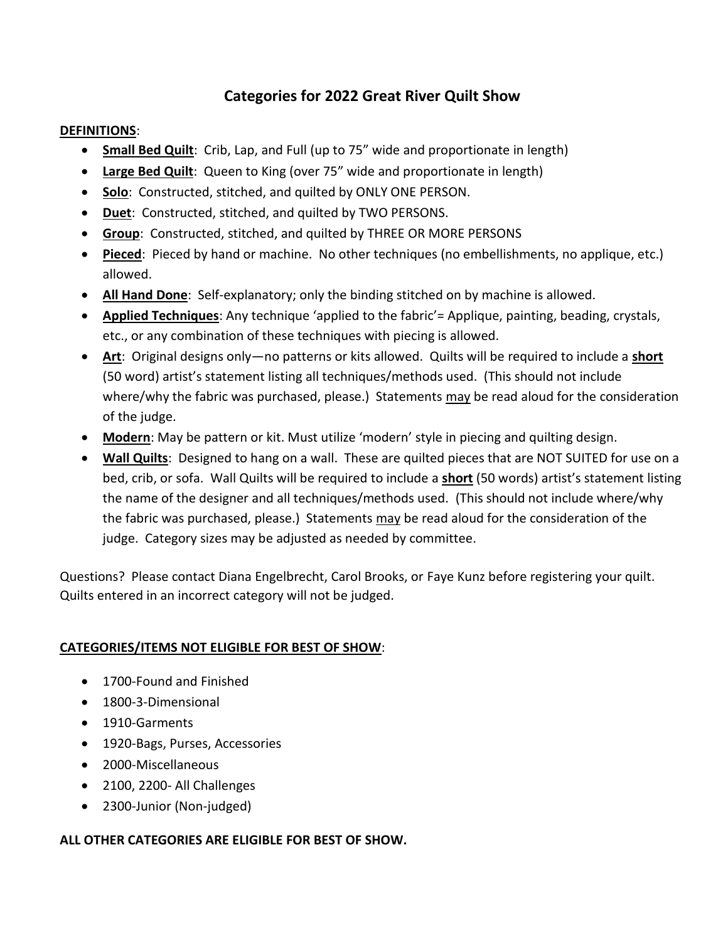# **Categories for 2022 Great River Quilt Show**

## **DEFINITIONS**:

- **Small Bed Quilt**: Crib, Lap, and Full (up to 75" wide and proportionate in length)
- **Large Bed Quilt**: Queen to King (over 75" wide and proportionate in length)
- **Solo**: Constructed, stitched, and quilted by ONLY ONE PERSON.
- **Duet**: Constructed, stitched, and quilted by TWO PERSONS.
- **Group**: Constructed, stitched, and quilted by THREE OR MORE PERSONS
- **Pieced**: Pieced by hand or machine. No other techniques (no embellishments, no applique, etc.) allowed.
- **All Hand Done**: Self-explanatory; only the binding stitched on by machine is allowed.
- **Applied Techniques**: Any technique 'applied to the fabric'= Applique, painting, beading, crystals, etc., or any combination of these techniques with piecing is allowed.
- **Art**: Original designs only—no patterns or kits allowed. Quilts will be required to include a **short** (50 word) artist's statement listing all techniques/methods used. (This should not include where/why the fabric was purchased, please.) Statements may be read aloud for the consideration of the judge.
- **Modern**: May be pattern or kit. Must utilize 'modern' style in piecing and quilting design.
- **Wall Quilts**: Designed to hang on a wall. These are quilted pieces that are NOT SUITED for use on a bed, crib, or sofa. Wall Quilts will be required to include a **short** (50 words) artist's statement listing the name of the designer and all techniques/methods used. (This should not include where/why the fabric was purchased, please.) Statements may be read aloud for the consideration of the judge. Category sizes may be adjusted as needed by committee.

Questions? Please contact Diana Engelbrecht, Carol Brooks, or Faye Kunz before registering your quilt. Quilts entered in an incorrect category will not be judged.

## **CATEGORIES/ITEMS NOT ELIGIBLE FOR BEST OF SHOW**:

- 1700-Found and Finished
- 1800-3-Dimensional
- 1910-Garments
- 1920-Bags, Purses, Accessories
- 2000-Miscellaneous
- 2100, 2200- All Challenges
- 2300-Junior (Non-judged)

## **ALL OTHER CATEGORIES ARE ELIGIBLE FOR BEST OF SHOW.**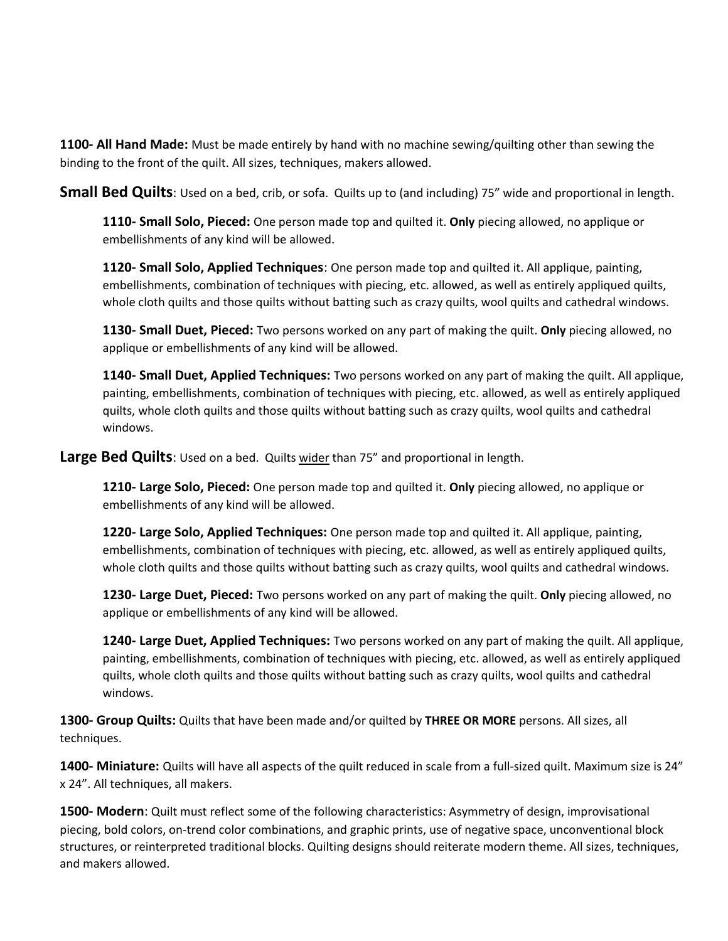**1100- All Hand Made:** Must be made entirely by hand with no machine sewing/quilting other than sewing the binding to the front of the quilt. All sizes, techniques, makers allowed.

**Small Bed Quilts**: Used on a bed, crib, or sofa. Quilts up to (and including) 75" wide and proportional in length.

**1110- Small Solo, Pieced:** One person made top and quilted it. **Only** piecing allowed, no applique or embellishments of any kind will be allowed.

**1120- Small Solo, Applied Techniques**: One person made top and quilted it. All applique, painting, embellishments, combination of techniques with piecing, etc. allowed, as well as entirely appliqued quilts, whole cloth quilts and those quilts without batting such as crazy quilts, wool quilts and cathedral windows.

**1130- Small Duet, Pieced:** Two persons worked on any part of making the quilt. **Only** piecing allowed, no applique or embellishments of any kind will be allowed.

**1140- Small Duet, Applied Techniques:** Two persons worked on any part of making the quilt. All applique, painting, embellishments, combination of techniques with piecing, etc. allowed, as well as entirely appliqued quilts, whole cloth quilts and those quilts without batting such as crazy quilts, wool quilts and cathedral windows.

**Large Bed Quilts**: Used on a bed. Quilts wider than 75" and proportional in length.

**1210- Large Solo, Pieced:** One person made top and quilted it. **Only** piecing allowed, no applique or embellishments of any kind will be allowed.

**1220- Large Solo, Applied Techniques:** One person made top and quilted it. All applique, painting, embellishments, combination of techniques with piecing, etc. allowed, as well as entirely appliqued quilts, whole cloth quilts and those quilts without batting such as crazy quilts, wool quilts and cathedral windows.

**1230- Large Duet, Pieced:** Two persons worked on any part of making the quilt. **Only** piecing allowed, no applique or embellishments of any kind will be allowed.

**1240- Large Duet, Applied Techniques:** Two persons worked on any part of making the quilt. All applique, painting, embellishments, combination of techniques with piecing, etc. allowed, as well as entirely appliqued quilts, whole cloth quilts and those quilts without batting such as crazy quilts, wool quilts and cathedral windows.

**1300- Group Quilts:** Quilts that have been made and/or quilted by **THREE OR MORE** persons. All sizes, all techniques.

**1400- Miniature:** Quilts will have all aspects of the quilt reduced in scale from a full-sized quilt. Maximum size is 24" x 24". All techniques, all makers.

**1500- Modern**: Quilt must reflect some of the following characteristics: Asymmetry of design, improvisational piecing, bold colors, on-trend color combinations, and graphic prints, use of negative space, unconventional block structures, or reinterpreted traditional blocks. Quilting designs should reiterate modern theme. All sizes, techniques, and makers allowed.